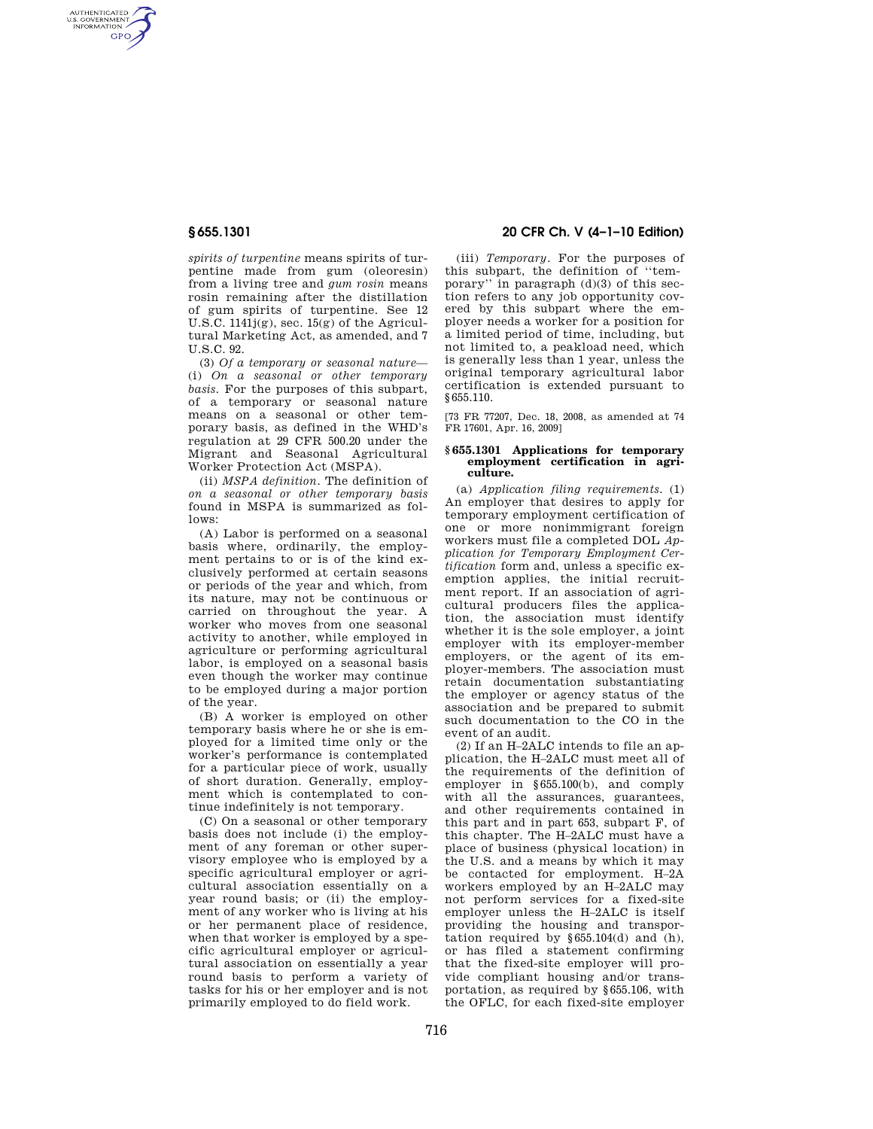AUTHENTICATED<br>U.S. GOVERNMENT<br>INFORMATION **GPO** 

> *spirits of turpentine* means spirits of turpentine made from gum (oleoresin) from a living tree and *gum rosin* means rosin remaining after the distillation of gum spirits of turpentine. See 12 U.S.C. 1141j(g), sec. 15(g) of the Agricultural Marketing Act, as amended, and 7 U.S.C. 92.

> (3) *Of a temporary or seasonal nature*— (i) *On a seasonal or other temporary basis.* For the purposes of this subpart, of a temporary or seasonal nature means on a seasonal or other temporary basis, as defined in the WHD's regulation at 29 CFR 500.20 under the Migrant and Seasonal Agricultural Worker Protection Act (MSPA).

> (ii) *MSPA definition.* The definition of *on a seasonal or other temporary basis*  found in MSPA is summarized as follows:

> (A) Labor is performed on a seasonal basis where, ordinarily, the employment pertains to or is of the kind exclusively performed at certain seasons or periods of the year and which, from its nature, may not be continuous or carried on throughout the year. A worker who moves from one seasonal activity to another, while employed in agriculture or performing agricultural labor, is employed on a seasonal basis even though the worker may continue to be employed during a major portion of the year.

(B) A worker is employed on other temporary basis where he or she is employed for a limited time only or the worker's performance is contemplated for a particular piece of work, usually of short duration. Generally, employment which is contemplated to continue indefinitely is not temporary.

(C) On a seasonal or other temporary basis does not include (i) the employment of any foreman or other supervisory employee who is employed by a specific agricultural employer or agricultural association essentially on a year round basis; or (ii) the employment of any worker who is living at his or her permanent place of residence, when that worker is employed by a specific agricultural employer or agricultural association on essentially a year round basis to perform a variety of tasks for his or her employer and is not primarily employed to do field work.

## **§ 655.1301 20 CFR Ch. V (4–1–10 Edition)**

(iii) *Temporary.* For the purposes of this subpart, the definition of ''temporary'' in paragraph (d)(3) of this section refers to any job opportunity covered by this subpart where the employer needs a worker for a position for a limited period of time, including, but not limited to, a peakload need, which is generally less than 1 year, unless the original temporary agricultural labor certification is extended pursuant to §655.110.

[73 FR 77207, Dec. 18, 2008, as amended at 74 FR 17601, Apr. 16, 2009]

## **§ 655.1301 Applications for temporary employment certification in agriculture.**

(a) *Application filing requirements.* (1) An employer that desires to apply for temporary employment certification of one or more nonimmigrant foreign workers must file a completed DOL *Application for Temporary Employment Certification* form and, unless a specific exemption applies, the initial recruitment report. If an association of agricultural producers files the application, the association must identify whether it is the sole employer, a joint employer with its employer-member employers, or the agent of its employer-members. The association must retain documentation substantiating the employer or agency status of the association and be prepared to submit such documentation to the CO in the event of an audit.

(2) If an H–2ALC intends to file an application, the H–2ALC must meet all of the requirements of the definition of employer in §655.100(b), and comply with all the assurances, guarantees, and other requirements contained in this part and in part 653, subpart F, of this chapter. The H–2ALC must have a place of business (physical location) in the U.S. and a means by which it may be contacted for employment. H–2A workers employed by an H–2ALC may not perform services for a fixed-site employer unless the H–2ALC is itself providing the housing and transportation required by  $§655.104(d)$  and  $(h)$ , or has filed a statement confirming that the fixed-site employer will provide compliant housing and/or transportation, as required by §655.106, with the OFLC, for each fixed-site employer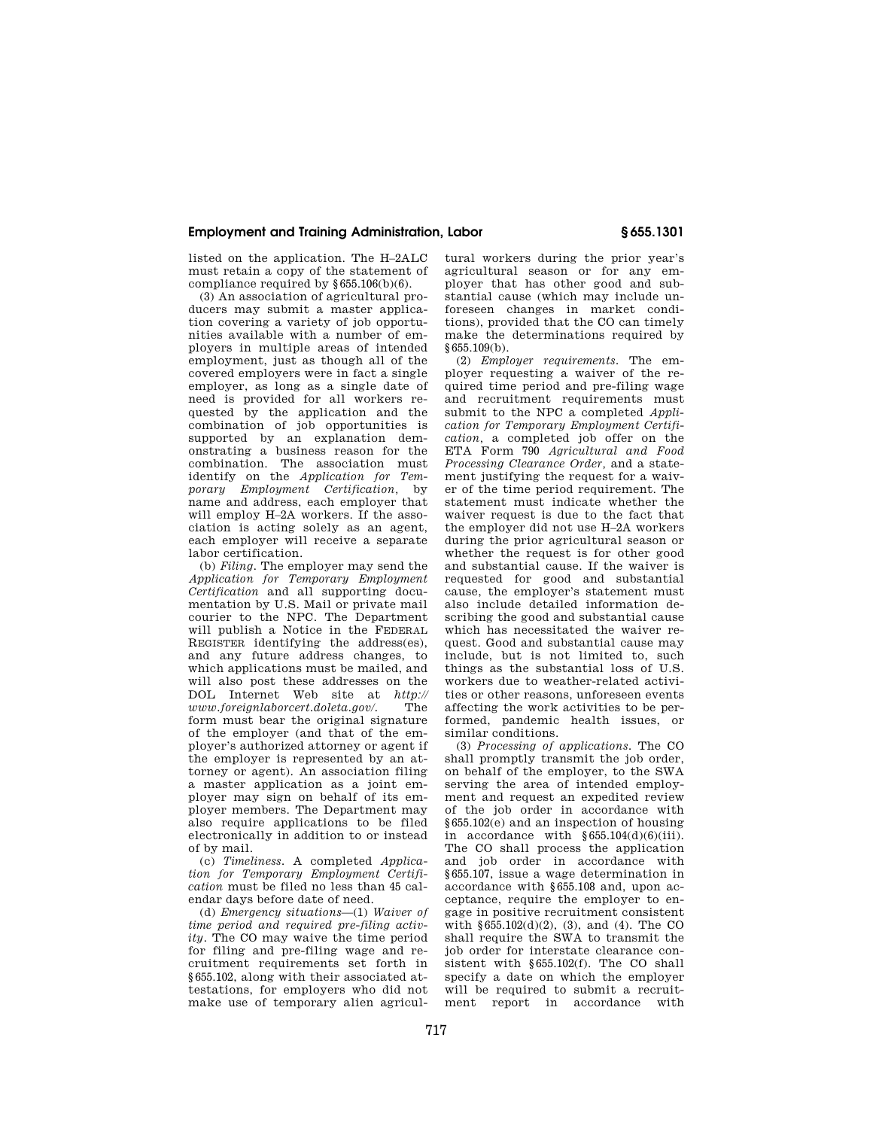## **Employment and Training Administration, Labor § 655.1301**

listed on the application. The H–2ALC must retain a copy of the statement of compliance required by §655.106(b)(6).

(3) An association of agricultural producers may submit a master application covering a variety of job opportunities available with a number of employers in multiple areas of intended employment, just as though all of the covered employers were in fact a single employer, as long as a single date of need is provided for all workers requested by the application and the combination of job opportunities is supported by an explanation demonstrating a business reason for the combination. The association must identify on the *Application for Temporary Employment Certification,* by name and address, each employer that will employ H–2A workers. If the association is acting solely as an agent, each employer will receive a separate labor certification.

(b) *Filing.* The employer may send the *Application for Temporary Employment Certification* and all supporting documentation by U.S. Mail or private mail courier to the NPC. The Department will publish a Notice in the FEDERAL REGISTER identifying the address(es), and any future address changes, to which applications must be mailed, and will also post these addresses on the DOL Internet Web site at *http:// www.foreignlaborcert.doleta.gov/.* The form must bear the original signature of the employer (and that of the employer's authorized attorney or agent if the employer is represented by an attorney or agent). An association filing a master application as a joint employer may sign on behalf of its employer members. The Department may also require applications to be filed electronically in addition to or instead of by mail.

(c) *Timeliness.* A completed *Application for Temporary Employment Certification* must be filed no less than 45 calendar days before date of need.

(d) *Emergency situations*—(1) *Waiver of time period and required pre-filing activity.* The CO may waive the time period for filing and pre-filing wage and recruitment requirements set forth in §655.102, along with their associated attestations, for employers who did not make use of temporary alien agricultural workers during the prior year's agricultural season or for any employer that has other good and substantial cause (which may include unforeseen changes in market conditions), provided that the CO can timely make the determinations required by §655.109(b).

(2) *Employer requirements.* The employer requesting a waiver of the required time period and pre-filing wage and recruitment requirements must submit to the NPC a completed *Application for Temporary Employment Certification,* a completed job offer on the ETA Form 790 *Agricultural and Food Processing Clearance Order,* and a statement justifying the request for a waiver of the time period requirement. The statement must indicate whether the waiver request is due to the fact that the employer did not use H–2A workers during the prior agricultural season or whether the request is for other good and substantial cause. If the waiver is requested for good and substantial cause, the employer's statement must also include detailed information describing the good and substantial cause which has necessitated the waiver request. Good and substantial cause may include, but is not limited to, such things as the substantial loss of U.S. workers due to weather-related activities or other reasons, unforeseen events affecting the work activities to be performed, pandemic health issues, or similar conditions.

(3) *Processing of applications.* The CO shall promptly transmit the job order, on behalf of the employer, to the SWA serving the area of intended employment and request an expedited review of the job order in accordance with §655.102(e) and an inspection of housing in accordance with  $§655.104(d)(6)(iii)$ . The CO shall process the application and job order in accordance with §655.107, issue a wage determination in accordance with §655.108 and, upon acceptance, require the employer to engage in positive recruitment consistent with §655.102(d)(2), (3), and (4). The CO shall require the SWA to transmit the job order for interstate clearance consistent with §655.102(f). The CO shall specify a date on which the employer will be required to submit a recruitment report in accordance with